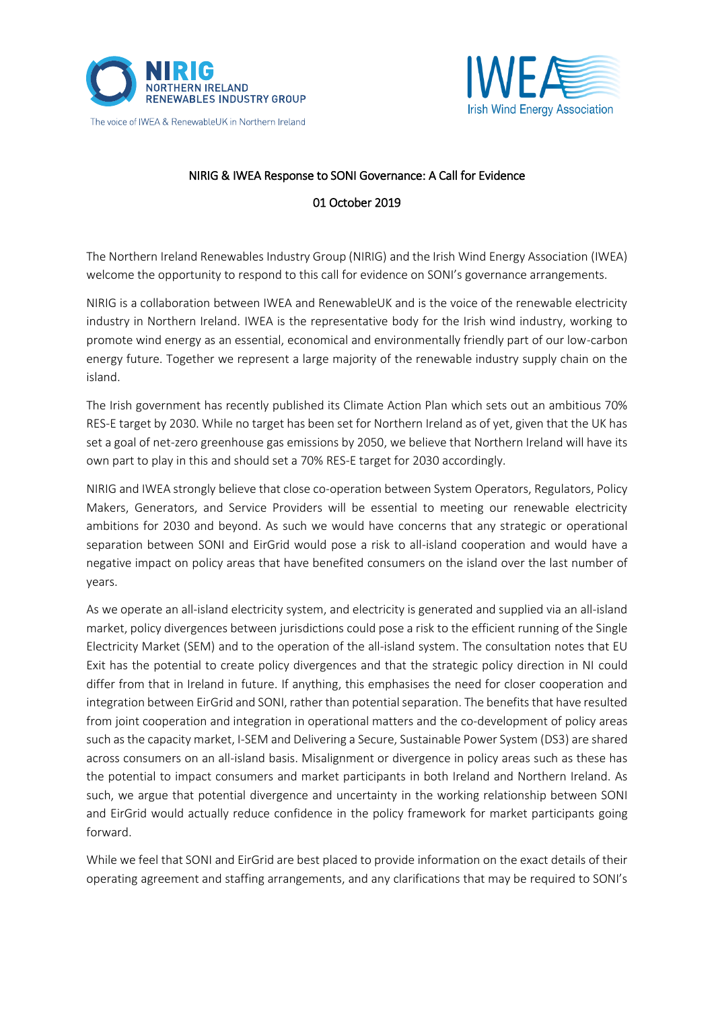

The voice of IWEA & RenewableUK in Northern Ireland



#### NIRIG & IWEA Response to SONI Governance: A Call for Evidence

01 October 2019

The Northern Ireland Renewables Industry Group (NIRIG) and the Irish Wind Energy Association (IWEA) welcome the opportunity to respond to this call for evidence on SONI's governance arrangements.

NIRIG is a collaboration between IWEA and RenewableUK and is the voice of the renewable electricity industry in Northern Ireland. IWEA is the representative body for the Irish wind industry, working to promote wind energy as an essential, economical and environmentally friendly part of our low-carbon energy future. Together we represent a large majority of the renewable industry supply chain on the island.

The Irish government has recently published its Climate Action Plan which sets out an ambitious 70% RES-E target by 2030. While no target has been set for Northern Ireland as of yet, given that the UK has set a goal of net-zero greenhouse gas emissions by 2050, we believe that Northern Ireland will have its own part to play in this and should set a 70% RES-E target for 2030 accordingly.

NIRIG and IWEA strongly believe that close co-operation between System Operators, Regulators, Policy Makers, Generators, and Service Providers will be essential to meeting our renewable electricity ambitions for 2030 and beyond. As such we would have concerns that any strategic or operational separation between SONI and EirGrid would pose a risk to all-island cooperation and would have a negative impact on policy areas that have benefited consumers on the island over the last number of years.

As we operate an all-island electricity system, and electricity is generated and supplied via an all-island market, policy divergences between jurisdictions could pose a risk to the efficient running of the Single Electricity Market (SEM) and to the operation of the all-island system. The consultation notes that EU Exit has the potential to create policy divergences and that the strategic policy direction in NI could differ from that in Ireland in future. If anything, this emphasises the need for closer cooperation and integration between EirGrid and SONI, rather than potential separation. The benefits that have resulted from joint cooperation and integration in operational matters and the co-development of policy areas such as the capacity market, I-SEM and Delivering a Secure, Sustainable Power System (DS3) are shared across consumers on an all-island basis. Misalignment or divergence in policy areas such as these has the potential to impact consumers and market participants in both Ireland and Northern Ireland. As such, we argue that potential divergence and uncertainty in the working relationship between SONI and EirGrid would actually reduce confidence in the policy framework for market participants going forward.

While we feel that SONI and EirGrid are best placed to provide information on the exact details of their operating agreement and staffing arrangements, and any clarifications that may be required to SONI's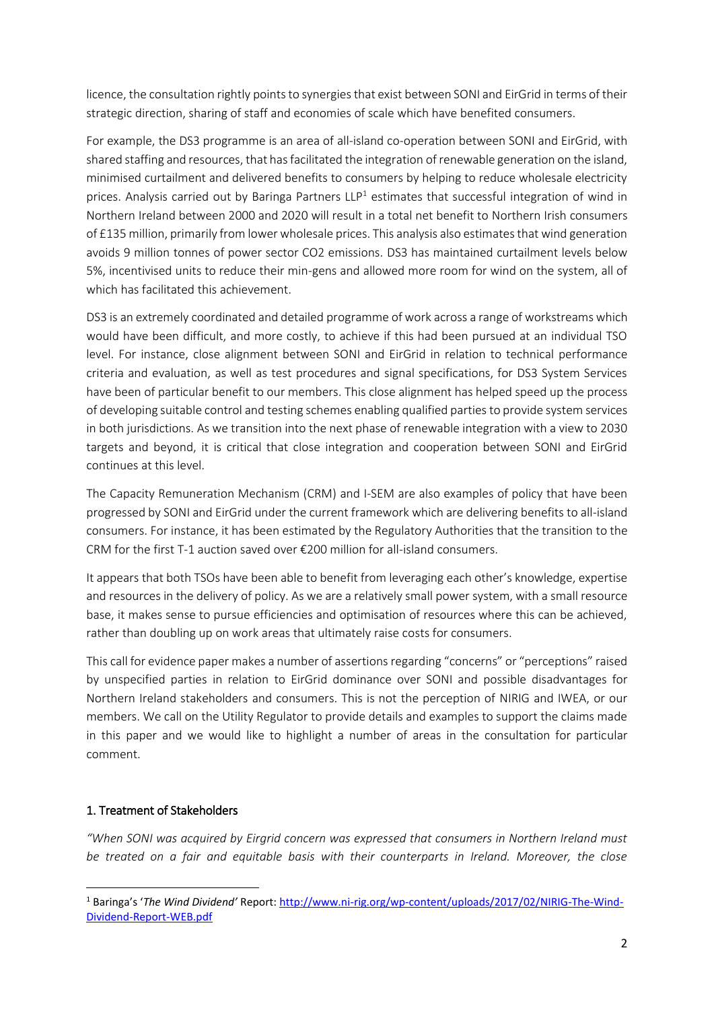licence, the consultation rightly points to synergies that exist between SONI and EirGrid in terms of their strategic direction, sharing of staff and economies of scale which have benefited consumers.

For example, the DS3 programme is an area of all-island co-operation between SONI and EirGrid, with shared staffing and resources, that has facilitated the integration of renewable generation on the island, minimised curtailment and delivered benefits to consumers by helping to reduce wholesale electricity prices. Analysis carried out by Baringa Partners LLP<sup>1</sup> estimates that successful integration of wind in Northern Ireland between 2000 and 2020 will result in a total net benefit to Northern Irish consumers of £135 million, primarily from lower wholesale prices. This analysis also estimates that wind generation avoids 9 million tonnes of power sector CO2 emissions. DS3 has maintained curtailment levels below 5%, incentivised units to reduce their min-gens and allowed more room for wind on the system, all of which has facilitated this achievement.

DS3 is an extremely coordinated and detailed programme of work across a range of workstreams which would have been difficult, and more costly, to achieve if this had been pursued at an individual TSO level. For instance, close alignment between SONI and EirGrid in relation to technical performance criteria and evaluation, as well as test procedures and signal specifications, for DS3 System Services have been of particular benefit to our members. This close alignment has helped speed up the process of developing suitable control and testing schemes enabling qualified parties to provide system services in both jurisdictions. As we transition into the next phase of renewable integration with a view to 2030 targets and beyond, it is critical that close integration and cooperation between SONI and EirGrid continues at this level.

The Capacity Remuneration Mechanism (CRM) and I-SEM are also examples of policy that have been progressed by SONI and EirGrid under the current framework which are delivering benefits to all-island consumers. For instance, it has been estimated by the Regulatory Authorities that the transition to the CRM for the first T-1 auction saved over €200 million for all-island consumers.

It appears that both TSOs have been able to benefit from leveraging each other's knowledge, expertise and resources in the delivery of policy. As we are a relatively small power system, with a small resource base, it makes sense to pursue efficiencies and optimisation of resources where this can be achieved, rather than doubling up on work areas that ultimately raise costs for consumers.

This call for evidence paper makes a number of assertions regarding "concerns" or "perceptions" raised by unspecified parties in relation to EirGrid dominance over SONI and possible disadvantages for Northern Ireland stakeholders and consumers. This is not the perception of NIRIG and IWEA, or our members. We call on the Utility Regulator to provide details and examples to support the claims made in this paper and we would like to highlight a number of areas in the consultation for particular comment.

# 1. Treatment of Stakeholders

1

*"When SONI was acquired by Eirgrid concern was expressed that consumers in Northern Ireland must be treated on a fair and equitable basis with their counterparts in Ireland. Moreover, the close* 

<sup>1</sup> Baringa's '*The Wind Dividend'* Report: [http://www.ni-rig.org/wp-content/uploads/2017/02/NIRIG-The-Wind-](http://www.ni-rig.org/wp-content/uploads/2017/02/NIRIG-The-Wind-Dividend-Report-WEB.pdf)[Dividend-Report-WEB.pdf](http://www.ni-rig.org/wp-content/uploads/2017/02/NIRIG-The-Wind-Dividend-Report-WEB.pdf)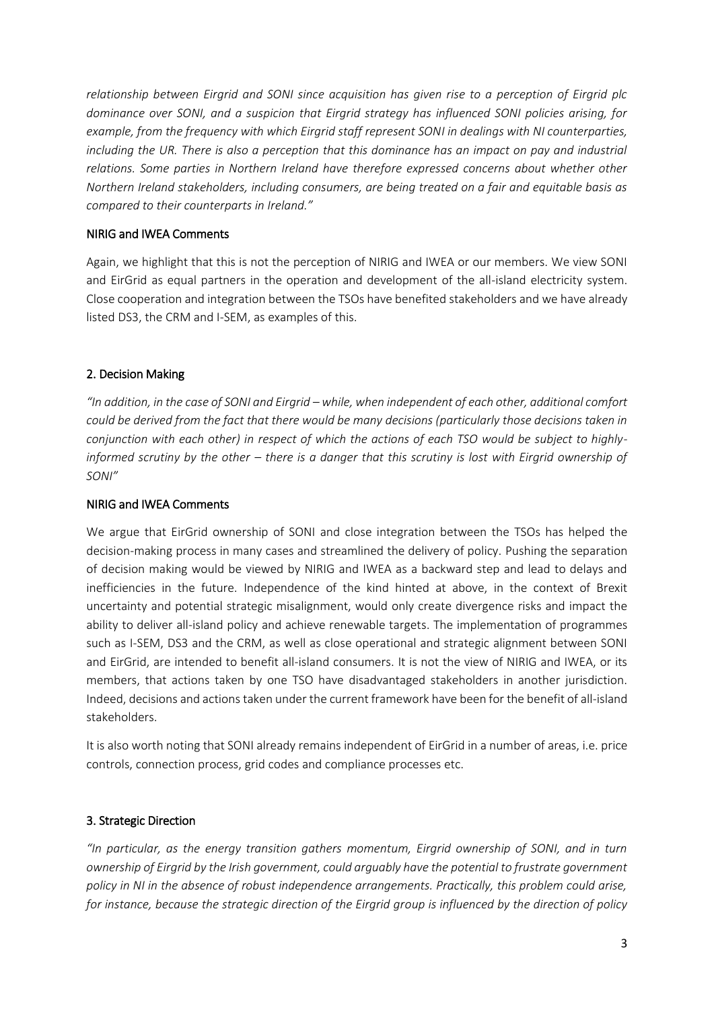*relationship between Eirgrid and SONI since acquisition has given rise to a perception of Eirgrid plc dominance over SONI, and a suspicion that Eirgrid strategy has influenced SONI policies arising, for example, from the frequency with which Eirgrid staff represent SONI in dealings with NI counterparties, including the UR. There is also a perception that this dominance has an impact on pay and industrial relations. Some parties in Northern Ireland have therefore expressed concerns about whether other Northern Ireland stakeholders, including consumers, are being treated on a fair and equitable basis as compared to their counterparts in Ireland."*

## NIRIG and IWEA Comments

Again, we highlight that this is not the perception of NIRIG and IWEA or our members. We view SONI and EirGrid as equal partners in the operation and development of the all-island electricity system. Close cooperation and integration between the TSOs have benefited stakeholders and we have already listed DS3, the CRM and I-SEM, as examples of this.

## 2. Decision Making

*"In addition, in the case of SONI and Eirgrid – while, when independent of each other, additional comfort could be derived from the fact that there would be many decisions (particularly those decisions taken in conjunction with each other) in respect of which the actions of each TSO would be subject to highlyinformed scrutiny by the other – there is a danger that this scrutiny is lost with Eirgrid ownership of SONI"*

## NIRIG and IWEA Comments

We argue that EirGrid ownership of SONI and close integration between the TSOs has helped the decision-making process in many cases and streamlined the delivery of policy. Pushing the separation of decision making would be viewed by NIRIG and IWEA as a backward step and lead to delays and inefficiencies in the future. Independence of the kind hinted at above, in the context of Brexit uncertainty and potential strategic misalignment, would only create divergence risks and impact the ability to deliver all-island policy and achieve renewable targets. The implementation of programmes such as I-SEM, DS3 and the CRM, as well as close operational and strategic alignment between SONI and EirGrid, are intended to benefit all-island consumers. It is not the view of NIRIG and IWEA, or its members, that actions taken by one TSO have disadvantaged stakeholders in another jurisdiction. Indeed, decisions and actions taken under the current framework have been for the benefit of all-island stakeholders.

It is also worth noting that SONI already remains independent of EirGrid in a number of areas, i.e. price controls, connection process, grid codes and compliance processes etc.

# 3. Strategic Direction

*"In particular, as the energy transition gathers momentum, Eirgrid ownership of SONI, and in turn ownership of Eirgrid by the Irish government, could arguably have the potential to frustrate government policy in NI in the absence of robust independence arrangements. Practically, this problem could arise, for instance, because the strategic direction of the Eirgrid group is influenced by the direction of policy*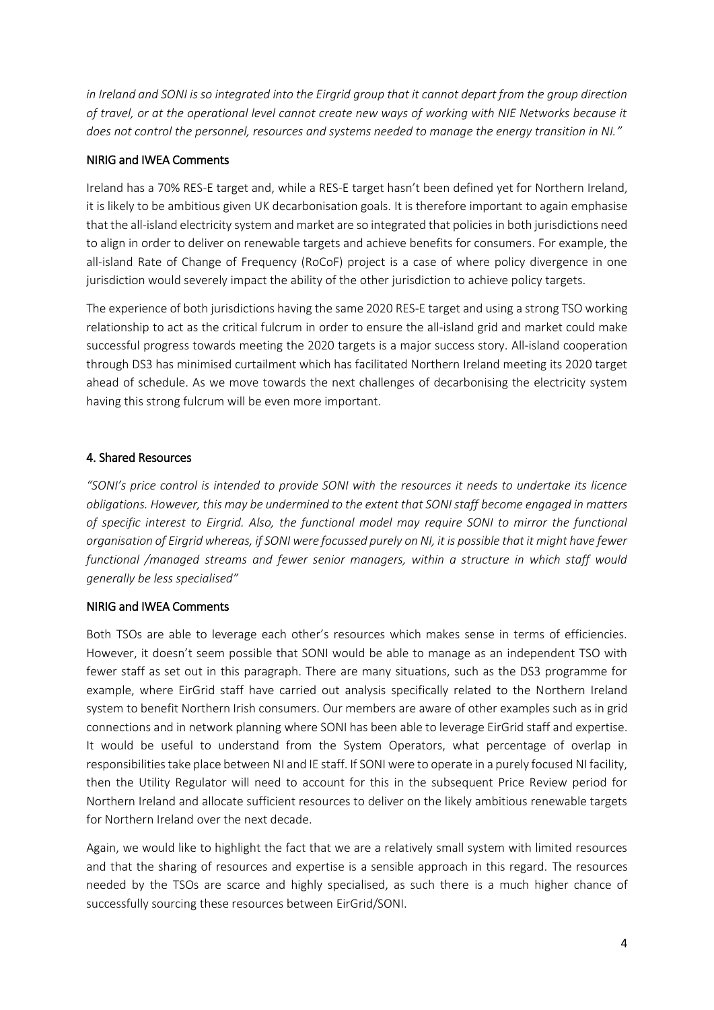*in Ireland and SONI is so integrated into the Eirgrid group that it cannot depart from the group direction of travel, or at the operational level cannot create new ways of working with NIE Networks because it does not control the personnel, resources and systems needed to manage the energy transition in NI."*

# NIRIG and IWEA Comments

Ireland has a 70% RES-E target and, while a RES-E target hasn't been defined yet for Northern Ireland, it is likely to be ambitious given UK decarbonisation goals. It is therefore important to again emphasise that the all-island electricity system and market are so integrated that policiesin both jurisdictions need to align in order to deliver on renewable targets and achieve benefits for consumers. For example, the all-island Rate of Change of Frequency (RoCoF) project is a case of where policy divergence in one jurisdiction would severely impact the ability of the other jurisdiction to achieve policy targets.

The experience of both jurisdictions having the same 2020 RES-E target and using a strong TSO working relationship to act as the critical fulcrum in order to ensure the all-island grid and market could make successful progress towards meeting the 2020 targets is a major success story. All-island cooperation through DS3 has minimised curtailment which has facilitated Northern Ireland meeting its 2020 target ahead of schedule. As we move towards the next challenges of decarbonising the electricity system having this strong fulcrum will be even more important.

# 4. Shared Resources

*"SONI's price control is intended to provide SONI with the resources it needs to undertake its licence obligations. However, this may be undermined to the extent that SONI staff become engaged in matters of specific interest to Eirgrid. Also, the functional model may require SONI to mirror the functional organisation of Eirgrid whereas, if SONI were focussed purely on NI, it is possible that it might have fewer functional /managed streams and fewer senior managers, within a structure in which staff would generally be less specialised"*

# NIRIG and IWEA Comments

Both TSOs are able to leverage each other's resources which makes sense in terms of efficiencies. However, it doesn't seem possible that SONI would be able to manage as an independent TSO with fewer staff as set out in this paragraph. There are many situations, such as the DS3 programme for example, where EirGrid staff have carried out analysis specifically related to the Northern Ireland system to benefit Northern Irish consumers. Our members are aware of other examples such as in grid connections and in network planning where SONI has been able to leverage EirGrid staff and expertise. It would be useful to understand from the System Operators, what percentage of overlap in responsibilities take place between NI and IE staff. If SONI were to operate in a purely focused NI facility, then the Utility Regulator will need to account for this in the subsequent Price Review period for Northern Ireland and allocate sufficient resources to deliver on the likely ambitious renewable targets for Northern Ireland over the next decade.

Again, we would like to highlight the fact that we are a relatively small system with limited resources and that the sharing of resources and expertise is a sensible approach in this regard. The resources needed by the TSOs are scarce and highly specialised, as such there is a much higher chance of successfully sourcing these resources between EirGrid/SONI.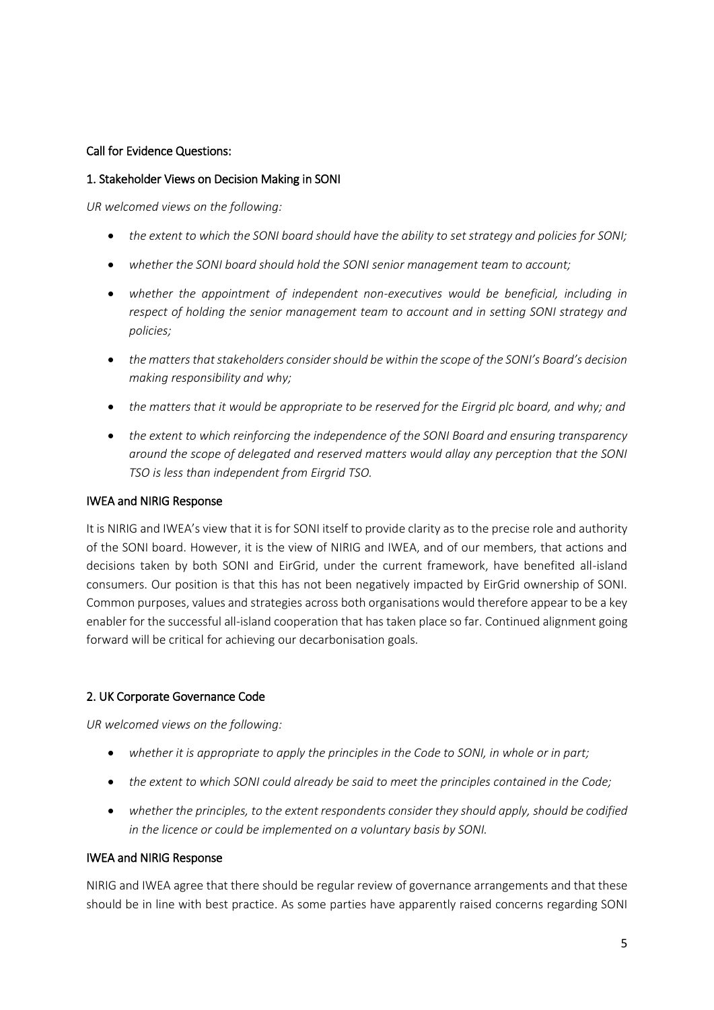## Call for Evidence Questions:

### 1. Stakeholder Views on Decision Making in SONI

*UR welcomed views on the following:*

- *the extent to which the SONI board should have the ability to set strategy and policies for SONI;*
- *whether the SONI board should hold the SONI senior management team to account;*
- *whether the appointment of independent non-executives would be beneficial, including in respect of holding the senior management team to account and in setting SONI strategy and policies;*
- *the matters that stakeholders consider should be within the scope of the SONI's Board's decision making responsibility and why;*
- *the matters that it would be appropriate to be reserved for the Eirgrid plc board, and why; and*
- *the extent to which reinforcing the independence of the SONI Board and ensuring transparency around the scope of delegated and reserved matters would allay any perception that the SONI TSO is less than independent from Eirgrid TSO.*

#### IWEA and NIRIG Response

It is NIRIG and IWEA's view that it is for SONI itself to provide clarity as to the precise role and authority of the SONI board. However, it is the view of NIRIG and IWEA, and of our members, that actions and decisions taken by both SONI and EirGrid, under the current framework, have benefited all-island consumers. Our position is that this has not been negatively impacted by EirGrid ownership of SONI. Common purposes, values and strategies across both organisations would therefore appear to be a key enabler for the successful all-island cooperation that has taken place so far. Continued alignment going forward will be critical for achieving our decarbonisation goals.

#### 2. UK Corporate Governance Code

*UR welcomed views on the following:*

- *whether it is appropriate to apply the principles in the Code to SONI, in whole or in part;*
- *the extent to which SONI could already be said to meet the principles contained in the Code;*
- *whether the principles, to the extent respondents consider they should apply, should be codified in the licence or could be implemented on a voluntary basis by SONI.*

#### IWEA and NIRIG Response

NIRIG and IWEA agree that there should be regular review of governance arrangements and that these should be in line with best practice. As some parties have apparently raised concerns regarding SONI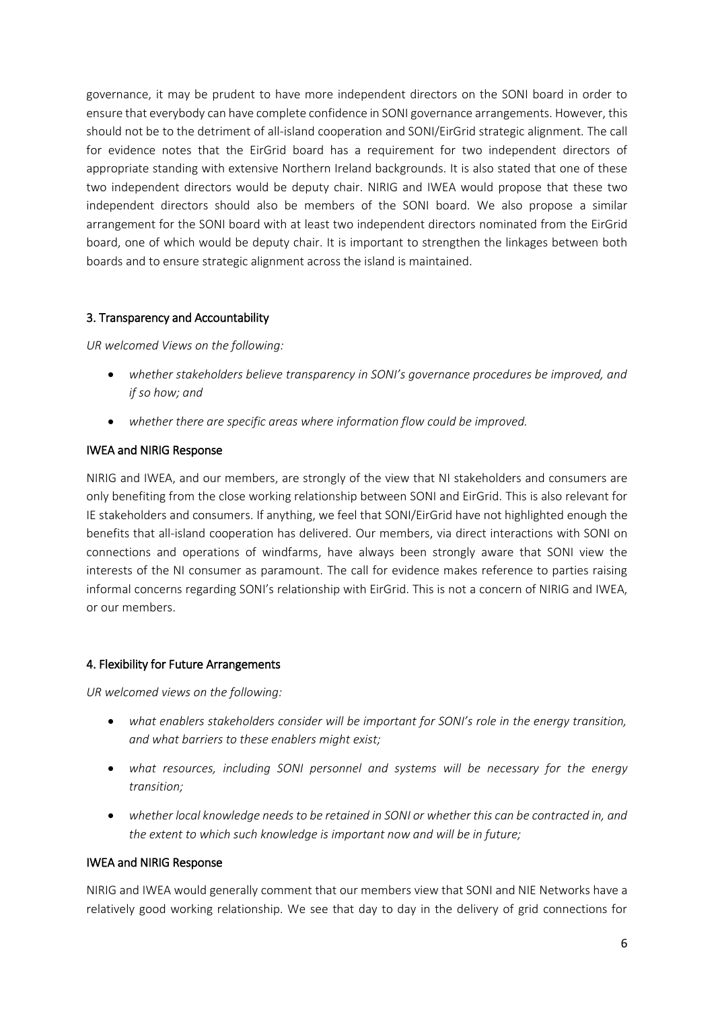governance, it may be prudent to have more independent directors on the SONI board in order to ensure that everybody can have complete confidence in SONI governance arrangements. However, this should not be to the detriment of all-island cooperation and SONI/EirGrid strategic alignment. The call for evidence notes that the EirGrid board has a requirement for two independent directors of appropriate standing with extensive Northern Ireland backgrounds. It is also stated that one of these two independent directors would be deputy chair. NIRIG and IWEA would propose that these two independent directors should also be members of the SONI board. We also propose a similar arrangement for the SONI board with at least two independent directors nominated from the EirGrid board, one of which would be deputy chair. It is important to strengthen the linkages between both boards and to ensure strategic alignment across the island is maintained.

# 3. Transparency and Accountability

*UR welcomed Views on the following:*

- *whether stakeholders believe transparency in SONI's governance procedures be improved, and if so how; and*
- *whether there are specific areas where information flow could be improved.*

## IWEA and NIRIG Response

NIRIG and IWEA, and our members, are strongly of the view that NI stakeholders and consumers are only benefiting from the close working relationship between SONI and EirGrid. This is also relevant for IE stakeholders and consumers. If anything, we feel that SONI/EirGrid have not highlighted enough the benefits that all-island cooperation has delivered. Our members, via direct interactions with SONI on connections and operations of windfarms, have always been strongly aware that SONI view the interests of the NI consumer as paramount. The call for evidence makes reference to parties raising informal concerns regarding SONI's relationship with EirGrid. This is not a concern of NIRIG and IWEA, or our members.

# 4. Flexibility for Future Arrangements

*UR welcomed views on the following:*

- *what enablers stakeholders consider will be important for SONI's role in the energy transition, and what barriers to these enablers might exist;*
- *what resources, including SONI personnel and systems will be necessary for the energy transition;*
- *whether local knowledge needs to be retained in SONI or whether this can be contracted in, and the extent to which such knowledge is important now and will be in future;*

#### IWEA and NIRIG Response

NIRIG and IWEA would generally comment that our members view that SONI and NIE Networks have a relatively good working relationship. We see that day to day in the delivery of grid connections for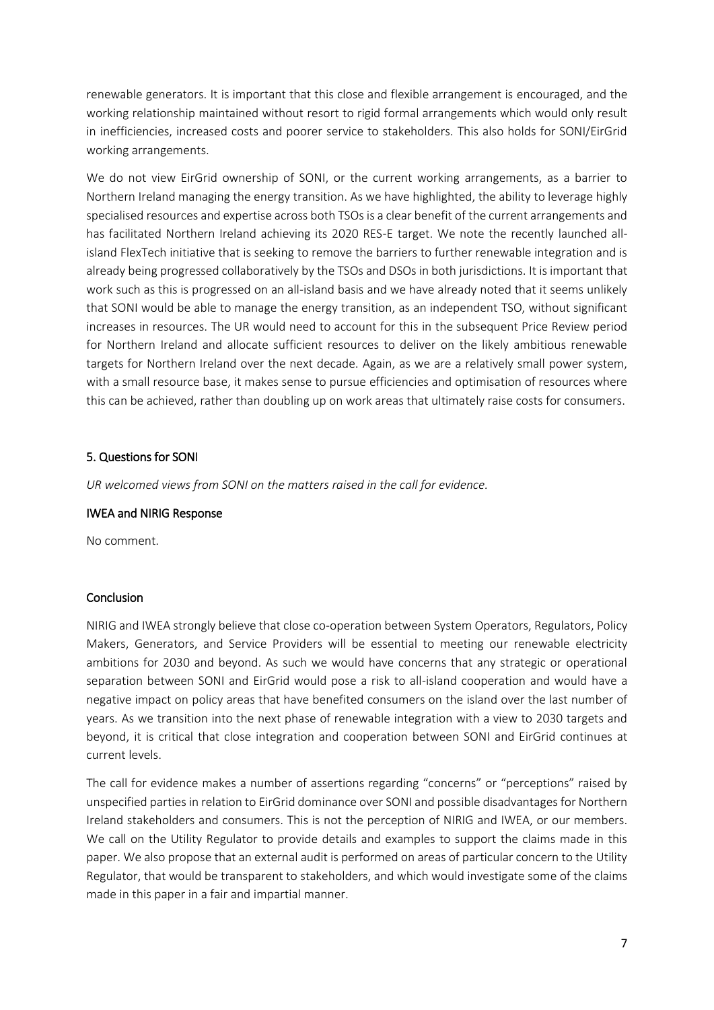renewable generators. It is important that this close and flexible arrangement is encouraged, and the working relationship maintained without resort to rigid formal arrangements which would only result in inefficiencies, increased costs and poorer service to stakeholders. This also holds for SONI/EirGrid working arrangements.

We do not view EirGrid ownership of SONI, or the current working arrangements, as a barrier to Northern Ireland managing the energy transition. As we have highlighted, the ability to leverage highly specialised resources and expertise across both TSOs is a clear benefit of the current arrangements and has facilitated Northern Ireland achieving its 2020 RES-E target. We note the recently launched allisland FlexTech initiative that is seeking to remove the barriers to further renewable integration and is already being progressed collaboratively by the TSOs and DSOs in both jurisdictions. It is important that work such as this is progressed on an all-island basis and we have already noted that it seems unlikely that SONI would be able to manage the energy transition, as an independent TSO, without significant increases in resources. The UR would need to account for this in the subsequent Price Review period for Northern Ireland and allocate sufficient resources to deliver on the likely ambitious renewable targets for Northern Ireland over the next decade. Again, as we are a relatively small power system, with a small resource base, it makes sense to pursue efficiencies and optimisation of resources where this can be achieved, rather than doubling up on work areas that ultimately raise costs for consumers.

## 5. Questions for SONI

*UR welcomed views from SONI on the matters raised in the call for evidence.*

#### IWEA and NIRIG Response

No comment.

### **Conclusion**

NIRIG and IWEA strongly believe that close co-operation between System Operators, Regulators, Policy Makers, Generators, and Service Providers will be essential to meeting our renewable electricity ambitions for 2030 and beyond. As such we would have concerns that any strategic or operational separation between SONI and EirGrid would pose a risk to all-island cooperation and would have a negative impact on policy areas that have benefited consumers on the island over the last number of years. As we transition into the next phase of renewable integration with a view to 2030 targets and beyond, it is critical that close integration and cooperation between SONI and EirGrid continues at current levels.

The call for evidence makes a number of assertions regarding "concerns" or "perceptions" raised by unspecified parties in relation to EirGrid dominance over SONI and possible disadvantages for Northern Ireland stakeholders and consumers. This is not the perception of NIRIG and IWEA, or our members. We call on the Utility Regulator to provide details and examples to support the claims made in this paper. We also propose that an external audit is performed on areas of particular concern to the Utility Regulator, that would be transparent to stakeholders, and which would investigate some of the claims made in this paper in a fair and impartial manner.